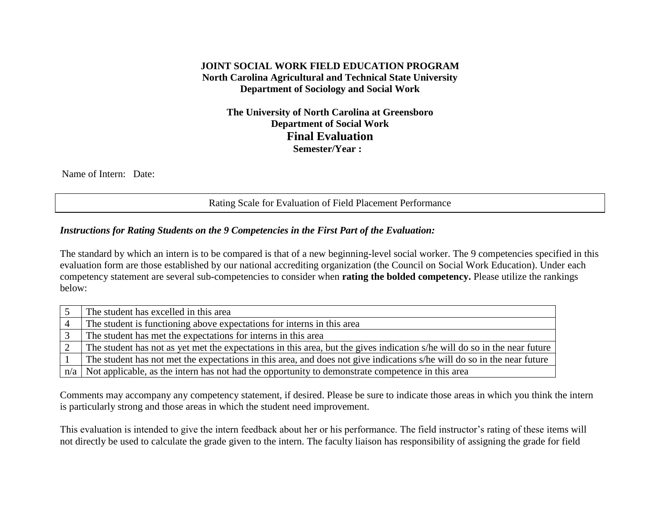## **JOINT SOCIAL WORK FIELD EDUCATION PROGRAM North Carolina Agricultural and Technical State University Department of Sociology and Social Work**

**The University of North Carolina at Greensboro Department of Social Work Final Evaluation Semester/Year :**

Name of Intern: Date:

Rating Scale for Evaluation of Field Placement Performance

#### *Instructions for Rating Students on the 9 Competencies in the First Part of the Evaluation:*

The standard by which an intern is to be compared is that of a new beginning-level social worker. The 9 competencies specified in this evaluation form are those established by our national accrediting organization (the Council on Social Work Education). Under each competency statement are several sub-competencies to consider when **rating the bolded competency.** Please utilize the rankings below:

| The student has excelled in this area                                                                                     |
|---------------------------------------------------------------------------------------------------------------------------|
| The student is functioning above expectations for interns in this area                                                    |
| The student has met the expectations for interns in this area                                                             |
| The student has not as yet met the expectations in this area, but the gives indication s/he will do so in the near future |
| The student has not met the expectations in this area, and does not give indications s/he will do so in the near future   |
| $n/a$ Not applicable, as the intern has not had the opportunity to demonstrate competence in this area                    |

Comments may accompany any competency statement, if desired. Please be sure to indicate those areas in which you think the intern is particularly strong and those areas in which the student need improvement.

This evaluation is intended to give the intern feedback about her or his performance. The field instructor's rating of these items will not directly be used to calculate the grade given to the intern. The faculty liaison has responsibility of assigning the grade for field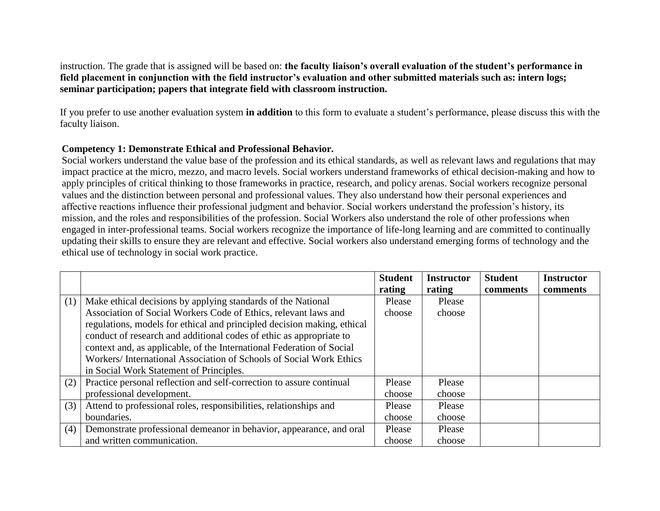instruction. The grade that is assigned will be based on: **the faculty liaison's overall evaluation of the student's performance in field placement in conjunction with the field instructor's evaluation and other submitted materials such as: intern logs; seminar participation; papers that integrate field with classroom instruction.**

If you prefer to use another evaluation system **in addition** to this form to evaluate a student's performance, please discuss this with the faculty liaison.

#### **Competency 1: Demonstrate Ethical and Professional Behavior.**

Social workers understand the value base of the profession and its ethical standards, as well as relevant laws and regulations that may impact practice at the micro, mezzo, and macro levels. Social workers understand frameworks of ethical decision-making and how to apply principles of critical thinking to those frameworks in practice, research, and policy arenas. Social workers recognize personal values and the distinction between personal and professional values. They also understand how their personal experiences and affective reactions influence their professional judgment and behavior. Social workers understand the profession's history, its mission, and the roles and responsibilities of the profession. Social Workers also understand the role of other professions when engaged in inter-professional teams. Social workers recognize the importance of life-long learning and are committed to continually updating their skills to ensure they are relevant and effective. Social workers also understand emerging forms of technology and the ethical use of technology in social work practice.

|     |                                                                         | <b>Student</b> | <b>Instructor</b> | <b>Student</b> | <b>Instructor</b> |
|-----|-------------------------------------------------------------------------|----------------|-------------------|----------------|-------------------|
|     |                                                                         | rating         | rating            | comments       | comments          |
| (1) | Make ethical decisions by applying standards of the National            | Please         | Please            |                |                   |
|     | Association of Social Workers Code of Ethics, relevant laws and         | choose         | choose            |                |                   |
|     | regulations, models for ethical and principled decision making, ethical |                |                   |                |                   |
|     | conduct of research and additional codes of ethic as appropriate to     |                |                   |                |                   |
|     | context and, as applicable, of the International Federation of Social   |                |                   |                |                   |
|     | Workers/International Association of Schools of Social Work Ethics      |                |                   |                |                   |
|     | in Social Work Statement of Principles.                                 |                |                   |                |                   |
| (2) | Practice personal reflection and self-correction to assure continual    | Please         | Please            |                |                   |
|     | professional development.                                               | choose         | choose            |                |                   |
| (3) | Attend to professional roles, responsibilities, relationships and       | Please         | Please            |                |                   |
|     | boundaries.                                                             | choose         | choose            |                |                   |
| (4) | Demonstrate professional demeanor in behavior, appearance, and oral     | Please         | Please            |                |                   |
|     | and written communication.                                              | choose         | choose            |                |                   |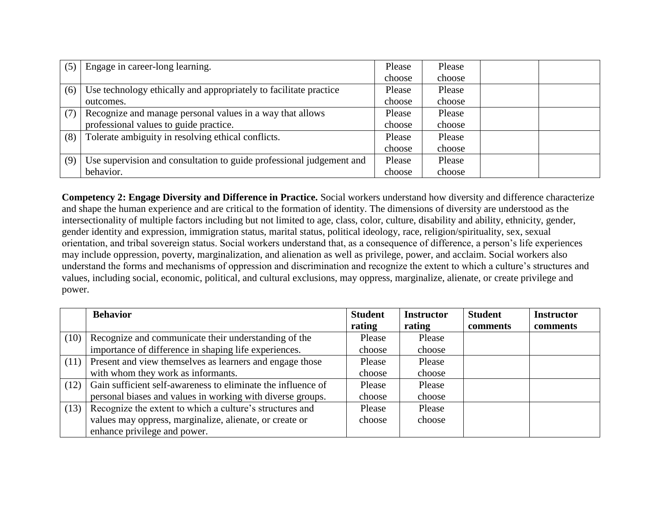| (5) | Engage in career-long learning.                                      | Please | Please |  |
|-----|----------------------------------------------------------------------|--------|--------|--|
|     |                                                                      | choose | choose |  |
| (6) | Use technology ethically and appropriately to facilitate practice    | Please | Please |  |
|     | outcomes.                                                            | choose | choose |  |
| (7) | Recognize and manage personal values in a way that allows            | Please | Please |  |
|     | professional values to guide practice.                               | choose | choose |  |
| (8) | Tolerate ambiguity in resolving ethical conflicts.                   | Please | Please |  |
|     |                                                                      | choose | choose |  |
| (9) | Use supervision and consultation to guide professional judgement and | Please | Please |  |
|     | behavior.                                                            | choose | choose |  |

**Competency 2: Engage Diversity and Difference in Practice.** Social workers understand how diversity and difference characterize and shape the human experience and are critical to the formation of identity. The dimensions of diversity are understood as the intersectionality of multiple factors including but not limited to age, class, color, culture, disability and ability, ethnicity, gender, gender identity and expression, immigration status, marital status, political ideology, race, religion/spirituality, sex, sexual orientation, and tribal sovereign status. Social workers understand that, as a consequence of difference, a person's life experiences may include oppression, poverty, marginalization, and alienation as well as privilege, power, and acclaim. Social workers also understand the forms and mechanisms of oppression and discrimination and recognize the extent to which a culture's structures and values, including social, economic, political, and cultural exclusions, may oppress, marginalize, alienate, or create privilege and power.

|      | <b>Behavior</b>                                              | <b>Student</b> | <b>Instructor</b> | <b>Student</b> | <b>Instructor</b> |
|------|--------------------------------------------------------------|----------------|-------------------|----------------|-------------------|
|      |                                                              | rating         | rating            | comments       | comments          |
| (10) | Recognize and communicate their understanding of the         | Please         | Please            |                |                   |
|      | importance of difference in shaping life experiences.        | choose         | choose            |                |                   |
| (11) | Present and view themselves as learners and engage those     | Please         | Please            |                |                   |
|      | with whom they work as informants.                           | choose         | choose            |                |                   |
| (12) | Gain sufficient self-awareness to eliminate the influence of | Please         | Please            |                |                   |
|      | personal biases and values in working with diverse groups.   | choose         | choose            |                |                   |
| (13) | Recognize the extent to which a culture's structures and     | Please         | Please            |                |                   |
|      | values may oppress, marginalize, alienate, or create or      | choose         | choose            |                |                   |
|      | enhance privilege and power.                                 |                |                   |                |                   |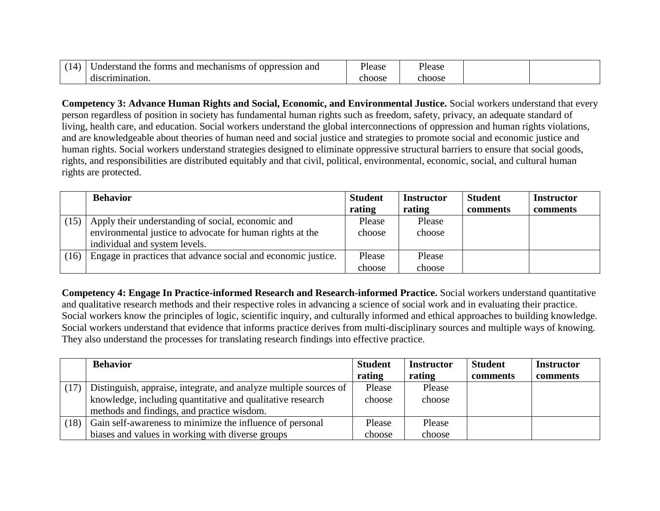| mechanisms<br>and<br>the<br>and<br><i>Inderstand</i><br>-01<br>oppression<br>torms | <sup>o</sup> lease | <sup>o</sup> lease |  |
|------------------------------------------------------------------------------------|--------------------|--------------------|--|
| `crimination.<br>disc.                                                             | ehoose             | choose             |  |

**Competency 3: Advance Human Rights and Social, Economic, and Environmental Justice.** Social workers understand that every person regardless of position in society has fundamental human rights such as freedom, safety, privacy, an adequate standard of living, health care, and education. Social workers understand the global interconnections of oppression and human rights violations, and are knowledgeable about theories of human need and social justice and strategies to promote social and economic justice and human rights. Social workers understand strategies designed to eliminate oppressive structural barriers to ensure that social goods, rights, and responsibilities are distributed equitably and that civil, political, environmental, economic, social, and cultural human rights are protected.

|      | <b>Behavior</b>                                               | <b>Student</b> | <b>Instructor</b> | <b>Student</b> | <b>Instructor</b> |
|------|---------------------------------------------------------------|----------------|-------------------|----------------|-------------------|
|      |                                                               | rating         | rating            | comments       | comments          |
| (15) | Apply their understanding of social, economic and             | Please         | Please            |                |                   |
|      | environmental justice to advocate for human rights at the     | choose         | choose            |                |                   |
|      | individual and system levels.                                 |                |                   |                |                   |
| (16) | Engage in practices that advance social and economic justice. | Please         | Please            |                |                   |
|      |                                                               | choose         | choose            |                |                   |

**Competency 4: Engage In Practice-informed Research and Research-informed Practice.** Social workers understand quantitative and qualitative research methods and their respective roles in advancing a science of social work and in evaluating their practice. Social workers know the principles of logic, scientific inquiry, and culturally informed and ethical approaches to building knowledge. Social workers understand that evidence that informs practice derives from multi-disciplinary sources and multiple ways of knowing. They also understand the processes for translating research findings into effective practice.

|      | <b>Behavior</b>                                                   | <b>Student</b> | <b>Instructor</b> | <b>Student</b> | <b>Instructor</b> |
|------|-------------------------------------------------------------------|----------------|-------------------|----------------|-------------------|
|      |                                                                   | rating         | rating            | comments       | comments          |
| (17) | Distinguish, appraise, integrate, and analyze multiple sources of | Please         | Please            |                |                   |
|      | knowledge, including quantitative and qualitative research        | choose         | choose            |                |                   |
|      | methods and findings, and practice wisdom.                        |                |                   |                |                   |
| (18) | Gain self-awareness to minimize the influence of personal         | Please         | Please            |                |                   |
|      | biases and values in working with diverse groups                  | choose         | choose            |                |                   |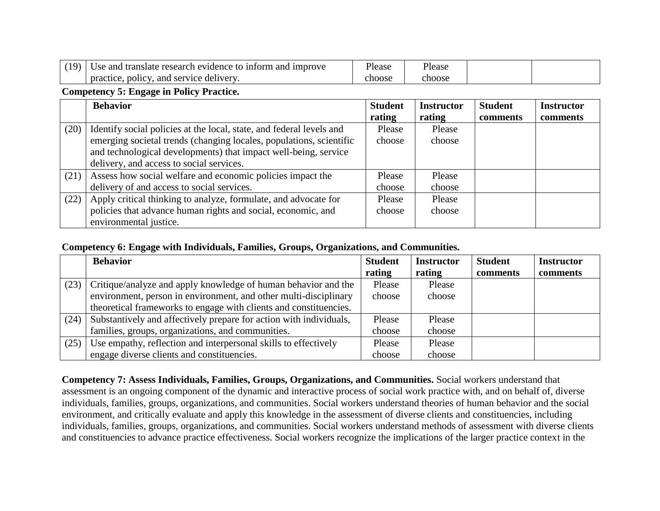| (10) | Use and translate research evidence to inform<br>and<br>i improve | <sup>o</sup> lease | Please |  |
|------|-------------------------------------------------------------------|--------------------|--------|--|
|      | and service delivery.<br>policy.<br>practice.                     | ehoose             | choose |  |

## **Competency 5: Engage in Policy Practice.**

|      | <b>Behavior</b>                                                      | <b>Student</b> | <b>Instructor</b> | <b>Student</b> | <b>Instructor</b> |
|------|----------------------------------------------------------------------|----------------|-------------------|----------------|-------------------|
|      |                                                                      | rating         | rating            | comments       | comments          |
| (20) | Identify social policies at the local, state, and federal levels and | Please         | Please            |                |                   |
|      | emerging societal trends (changing locales, populations, scientific  | choose         | choose            |                |                   |
|      | and technological developments) that impact well-being, service      |                |                   |                |                   |
|      | delivery, and access to social services.                             |                |                   |                |                   |
| (21) | Assess how social welfare and economic policies impact the           | Please         | Please            |                |                   |
|      | delivery of and access to social services.                           | choose         | choose            |                |                   |
| (22) | Apply critical thinking to analyze, formulate, and advocate for      | Please         | Please            |                |                   |
|      | policies that advance human rights and social, economic, and         | choose         | choose            |                |                   |
|      | environmental justice.                                               |                |                   |                |                   |

### **Competency 6: Engage with Individuals, Families, Groups, Organizations, and Communities.**

|      | <b>Behavior</b>                                                    | <b>Student</b> | <b>Instructor</b> | <b>Student</b> | <b>Instructor</b> |
|------|--------------------------------------------------------------------|----------------|-------------------|----------------|-------------------|
|      |                                                                    | rating         | rating            | comments       | comments          |
| (23) | Critique/analyze and apply knowledge of human behavior and the     | Please         | Please            |                |                   |
|      | environment, person in environment, and other multi-disciplinary   | choose         | choose            |                |                   |
|      | theoretical frameworks to engage with clients and constituencies.  |                |                   |                |                   |
| (24) | Substantively and affectively prepare for action with individuals, | Please         | Please            |                |                   |
|      | families, groups, organizations, and communities.                  | choose         | choose            |                |                   |
| (25) | Use empathy, reflection and interpersonal skills to effectively    | Please         | Please            |                |                   |
|      | engage diverse clients and constituencies.                         | choose         | choose            |                |                   |

**Competency 7: Assess Individuals, Families, Groups, Organizations, and Communities.** Social workers understand that assessment is an ongoing component of the dynamic and interactive process of social work practice with, and on behalf of, diverse individuals, families, groups, organizations, and communities. Social workers understand theories of human behavior and the social environment, and critically evaluate and apply this knowledge in the assessment of diverse clients and constituencies, including individuals, families, groups, organizations, and communities. Social workers understand methods of assessment with diverse clients and constituencies to advance practice effectiveness. Social workers recognize the implications of the larger practice context in the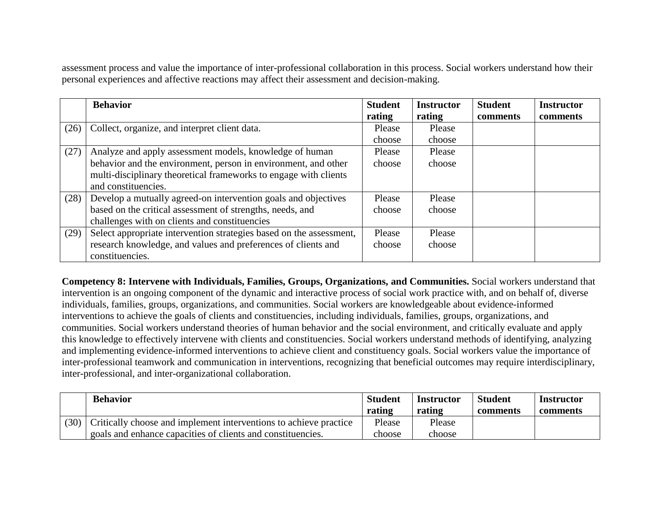assessment process and value the importance of inter-professional collaboration in this process. Social workers understand how their personal experiences and affective reactions may affect their assessment and decision-making.

|      | <b>Behavior</b>                                                     | <b>Student</b> | <b>Instructor</b> | <b>Student</b> | <b>Instructor</b> |
|------|---------------------------------------------------------------------|----------------|-------------------|----------------|-------------------|
|      |                                                                     | rating         | rating            | comments       | comments          |
| (26) | Collect, organize, and interpret client data.                       | Please         | Please            |                |                   |
|      |                                                                     | choose         | choose            |                |                   |
| (27) | Analyze and apply assessment models, knowledge of human             | Please         | Please            |                |                   |
|      | behavior and the environment, person in environment, and other      | choose         | choose            |                |                   |
|      | multi-disciplinary theoretical frameworks to engage with clients    |                |                   |                |                   |
|      | and constituencies.                                                 |                |                   |                |                   |
| (28) | Develop a mutually agreed-on intervention goals and objectives      | Please         | Please            |                |                   |
|      | based on the critical assessment of strengths, needs, and           | choose         | choose            |                |                   |
|      | challenges with on clients and constituencies                       |                |                   |                |                   |
| (29) | Select appropriate intervention strategies based on the assessment, | Please         | Please            |                |                   |
|      | research knowledge, and values and preferences of clients and       | choose         | choose            |                |                   |
|      | constituencies.                                                     |                |                   |                |                   |

**Competency 8: Intervene with Individuals, Families, Groups, Organizations, and Communities.** Social workers understand that intervention is an ongoing component of the dynamic and interactive process of social work practice with, and on behalf of, diverse individuals, families, groups, organizations, and communities. Social workers are knowledgeable about evidence-informed interventions to achieve the goals of clients and constituencies, including individuals, families, groups, organizations, and communities. Social workers understand theories of human behavior and the social environment, and critically evaluate and apply this knowledge to effectively intervene with clients and constituencies. Social workers understand methods of identifying, analyzing and implementing evidence-informed interventions to achieve client and constituency goals. Social workers value the importance of inter-professional teamwork and communication in interventions, recognizing that beneficial outcomes may require interdisciplinary, inter-professional, and inter-organizational collaboration.

|      | <b>Behavior</b>                                                   | <b>Student</b><br>rating | Instructor<br>rating | <b>Student</b><br>comments | <b>Instructor</b><br>comments |
|------|-------------------------------------------------------------------|--------------------------|----------------------|----------------------------|-------------------------------|
| (30) | Critically choose and implement interventions to achieve practice | Please                   | Please               |                            |                               |
|      | goals and enhance capacities of clients and constituencies.       | choose                   | choose               |                            |                               |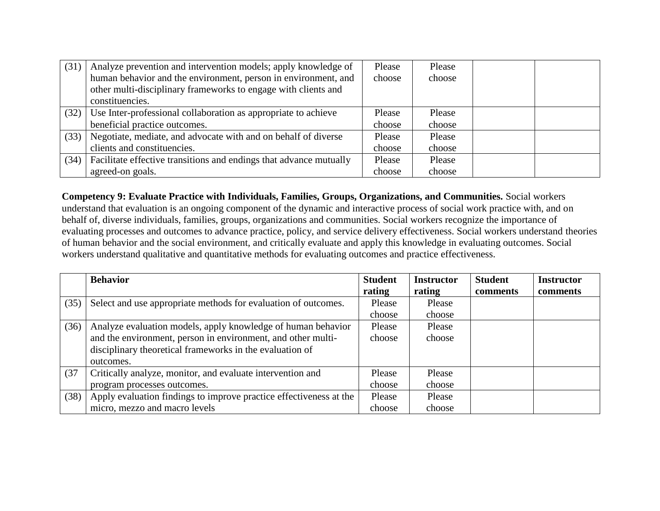| (31) | Analyze prevention and intervention models; apply knowledge of     | Please | Please |  |
|------|--------------------------------------------------------------------|--------|--------|--|
|      | human behavior and the environment, person in environment, and     | choose | choose |  |
|      | other multi-disciplinary frameworks to engage with clients and     |        |        |  |
|      | constituencies.                                                    |        |        |  |
| (32) | Use Inter-professional collaboration as appropriate to achieve     | Please | Please |  |
|      | beneficial practice outcomes.                                      | choose | choose |  |
| (33) | Negotiate, mediate, and advocate with and on behalf of diverse     | Please | Please |  |
|      | clients and constituencies.                                        | choose | choose |  |
| (34) | Facilitate effective transitions and endings that advance mutually | Please | Please |  |
|      | agreed-on goals.                                                   | choose | choose |  |

**Competency 9: Evaluate Practice with Individuals, Families, Groups, Organizations, and Communities.** Social workers understand that evaluation is an ongoing component of the dynamic and interactive process of social work practice with, and on behalf of, diverse individuals, families, groups, organizations and communities. Social workers recognize the importance of evaluating processes and outcomes to advance practice, policy, and service delivery effectiveness. Social workers understand theories of human behavior and the social environment, and critically evaluate and apply this knowledge in evaluating outcomes. Social workers understand qualitative and quantitative methods for evaluating outcomes and practice effectiveness.

|      | <b>Behavior</b>                                                    | <b>Student</b> | <b>Instructor</b> | <b>Student</b> | <b>Instructor</b> |
|------|--------------------------------------------------------------------|----------------|-------------------|----------------|-------------------|
|      |                                                                    | rating         | rating            | comments       | comments          |
| (35) | Select and use appropriate methods for evaluation of outcomes.     | Please         | Please            |                |                   |
|      |                                                                    | choose         | choose            |                |                   |
| (36) | Analyze evaluation models, apply knowledge of human behavior       | Please         | Please            |                |                   |
|      | and the environment, person in environment, and other multi-       | choose         | choose            |                |                   |
|      | disciplinary theoretical frameworks in the evaluation of           |                |                   |                |                   |
|      | outcomes.                                                          |                |                   |                |                   |
| (37) | Critically analyze, monitor, and evaluate intervention and         | Please         | Please            |                |                   |
|      | program processes outcomes.                                        | choose         | choose            |                |                   |
| (38) | Apply evaluation findings to improve practice effectiveness at the | Please         | Please            |                |                   |
|      | micro, mezzo and macro levels                                      | choose         | choose            |                |                   |